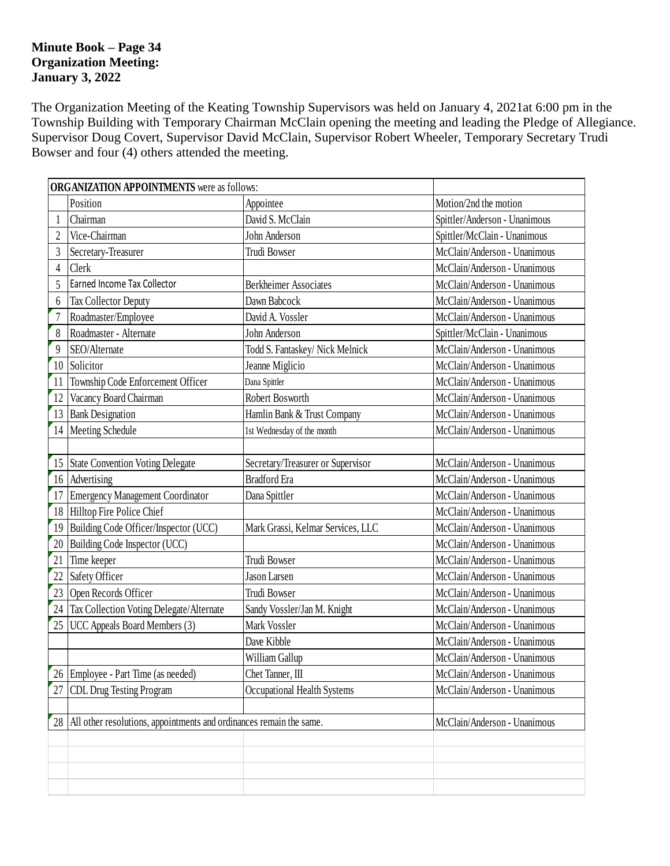#### **Minute Book – Page 34 Organization Meeting: January 3, 2022**

The Organization Meeting of the Keating Township Supervisors was held on January 4, 2021at 6:00 pm in the Township Building with Temporary Chairman McClain opening the meeting and leading the Pledge of Allegiance. Supervisor Doug Covert, Supervisor David McClain, Supervisor Robert Wheeler, Temporary Secretary Trudi Bowser and four (4) others attended the meeting.

|                | <b>ORGANIZATION APPOINTMENTS</b> were as follows:                   |                                   |                               |  |  |
|----------------|---------------------------------------------------------------------|-----------------------------------|-------------------------------|--|--|
|                | Position                                                            | Appointee                         | Motion/2nd the motion         |  |  |
|                | Chairman                                                            | David S. McClain                  | Spittler/Anderson - Unanimous |  |  |
| $\overline{2}$ | Vice-Chairman                                                       | John Anderson                     | Spittler/McClain - Unanimous  |  |  |
| 3              | Secretary-Treasurer                                                 | Trudi Bowser                      | McClain/Anderson - Unanimous  |  |  |
| $\overline{4}$ | Clerk                                                               |                                   | McClain/Anderson - Unanimous  |  |  |
| 5              | Earned Income Tax Collector                                         | <b>Berkheimer Associates</b>      | McClain/Anderson - Unanimous  |  |  |
| 6              | <b>Tax Collector Deputy</b>                                         | Dawn Babcock                      | McClain/Anderson - Unanimous  |  |  |
| $\overline{7}$ | Roadmaster/Employee                                                 | David A. Vossler                  | McClain/Anderson - Unanimous  |  |  |
| 8              | Roadmaster - Alternate                                              | John Anderson                     | Spittler/McClain - Unanimous  |  |  |
| 9              | SEO/Alternate                                                       | Todd S. Fantaskey/ Nick Melnick   | McClain/Anderson - Unanimous  |  |  |
| 10             | Solicitor                                                           | Jeanne Miglicio                   | McClain/Anderson - Unanimous  |  |  |
| 11             | Township Code Enforcement Officer                                   | Dana Spittler                     | McClain/Anderson - Unanimous  |  |  |
| 12             | Vacancy Board Chairman                                              | Robert Bosworth                   | McClain/Anderson - Unanimous  |  |  |
| 13             | <b>Bank Designation</b>                                             | Hamlin Bank & Trust Company       | McClain/Anderson - Unanimous  |  |  |
| 14             | <b>Meeting Schedule</b>                                             | 1st Wednesday of the month        | McClain/Anderson - Unanimous  |  |  |
|                |                                                                     |                                   |                               |  |  |
| 15             | <b>State Convention Voting Delegate</b>                             | Secretary/Treasurer or Supervisor | McClain/Anderson - Unanimous  |  |  |
| 16             | Advertising                                                         | <b>Bradford</b> Era               | McClain/Anderson - Unanimous  |  |  |
| 17             | Emergency Management Coordinator                                    | Dana Spittler                     | McClain/Anderson - Unanimous  |  |  |
| 18             | Hilltop Fire Police Chief                                           |                                   | McClain/Anderson - Unanimous  |  |  |
| 19             | Building Code Officer/Inspector (UCC)                               | Mark Grassi, Kelmar Services, LLC | McClain/Anderson - Unanimous  |  |  |
| 20             | Building Code Inspector (UCC)                                       |                                   | McClain/Anderson - Unanimous  |  |  |
| 21             | Time keeper                                                         | Trudi Bowser                      | McClain/Anderson - Unanimous  |  |  |
| 22             | Safety Officer                                                      | Jason Larsen                      | McClain/Anderson - Unanimous  |  |  |
| 23             | Open Records Officer                                                | Trudi Bowser                      | McClain/Anderson - Unanimous  |  |  |
| 24             | Tax Collection Voting Delegate/Alternate                            | Sandy Vossler/Jan M. Knight       | McClain/Anderson - Unanimous  |  |  |
| 25             | UCC Appeals Board Members (3)                                       | Mark Vossler                      | McClain/Anderson - Unanimous  |  |  |
|                |                                                                     | Dave Kibble                       | McClain/Anderson - Unanimous  |  |  |
|                |                                                                     | William Gallup                    | McClain/Anderson - Unanimous  |  |  |
|                | 26 Employee - Part Time (as needed)                                 | Chet Tanner, III                  | McClain/Anderson - Unanimous  |  |  |
| 27             | <b>CDL Drug Testing Program</b>                                     | Occupational Health Systems       | McClain/Anderson - Unanimous  |  |  |
|                |                                                                     |                                   |                               |  |  |
| 28             | All other resolutions, appointments and ordinances remain the same. |                                   | McClain/Anderson - Unanimous  |  |  |
|                |                                                                     |                                   |                               |  |  |
|                |                                                                     |                                   |                               |  |  |
|                |                                                                     |                                   |                               |  |  |
|                |                                                                     |                                   |                               |  |  |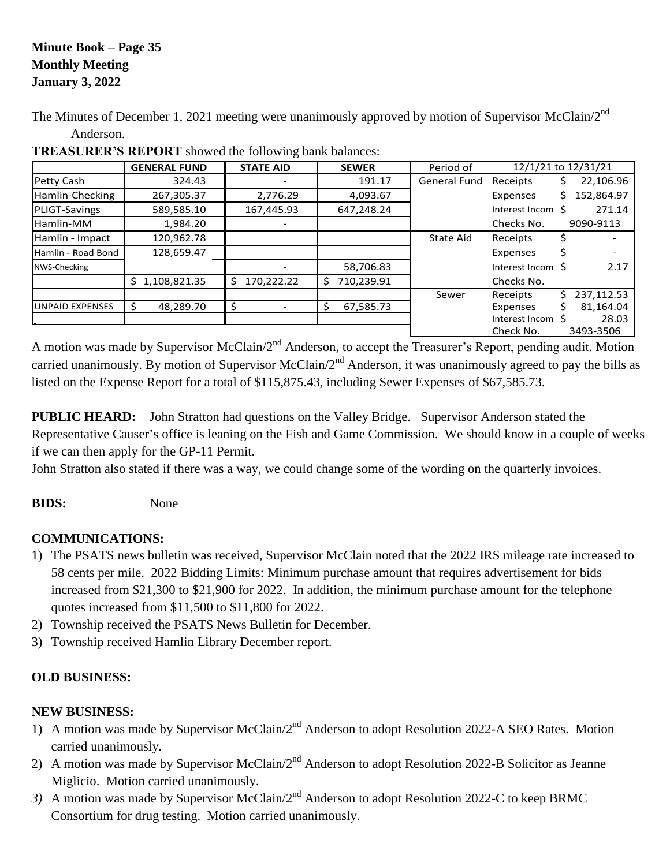#### **Minute Book – Page 35 Monthly Meeting January 3, 2022**

The Minutes of December 1, 2021 meeting were unanimously approved by motion of Supervisor McClain/2<sup>nd</sup> Anderson.

|                        | <b>GENERAL FUND</b> | <b>STATE AID</b> | <b>SEWER</b>     | Period of           |                   | 12/1/21 to 12/31/21 |
|------------------------|---------------------|------------------|------------------|---------------------|-------------------|---------------------|
| Petty Cash             | 324.43              |                  | 191.17           | <b>General Fund</b> | Receipts          | 22,106.96<br>S      |
| Hamlin-Checking        | 267,305.37          | 2,776.29         | 4,093.67         |                     | Expenses          | 152,864.97<br>S.    |
| PLIGT-Savings          | 589,585.10          | 167,445.93       | 647,248.24       |                     | Interest Incom S  | 271.14              |
| Hamlin-MM              | 1,984.20            |                  |                  |                     | Checks No.        | 9090-9113           |
| Hamlin - Impact        | 120,962.78          |                  |                  | State Aid           | Receipts          |                     |
| Hamlin - Road Bond     | 128,659.47          |                  |                  |                     | Expenses          |                     |
| NWS-Checking           |                     |                  | 58,706.83        |                     | Interest Incom \$ | 2.17                |
|                        | 1,108,821.35<br>S   | 170,222.22<br>Ś. | 710,239.91<br>\$ |                     | Checks No.        |                     |
|                        |                     |                  |                  | Sewer               | Receipts          | 237,112.53<br>S.    |
| <b>UNPAID EXPENSES</b> | 48.289.70<br>Ŝ.     | Ś                | 67,585.73<br>Ś   |                     | Expenses          | 81,164.04           |
|                        |                     |                  |                  |                     | Interest Incom    | 28.03               |
|                        |                     |                  |                  |                     | Check No.         | 3493-3506           |

**TREASURER'S REPORT** showed the following bank balances:

A motion was made by Supervisor McClain/2<sup>nd</sup> Anderson, to accept the Treasurer's Report, pending audit. Motion carried unanimously. By motion of Supervisor McClain/ $2^{nd}$  Anderson, it was unanimously agreed to pay the bills as listed on the Expense Report for a total of \$115,875.43, including Sewer Expenses of \$67,585.73.

**PUBLIC HEARD:** John Stratton had questions on the Valley Bridge. Supervisor Anderson stated the Representative Causer's office is leaning on the Fish and Game Commission. We should know in a couple of weeks if we can then apply for the GP-11 Permit.

John Stratton also stated if there was a way, we could change some of the wording on the quarterly invoices.

**BIDS:** None

# **COMMUNICATIONS:**

- 1) The PSATS news bulletin was received, Supervisor McClain noted that the 2022 IRS mileage rate increased to 58 cents per mile. 2022 Bidding Limits: Minimum purchase amount that requires advertisement for bids increased from \$21,300 to \$21,900 for 2022. In addition, the minimum purchase amount for the telephone quotes increased from \$11,500 to \$11,800 for 2022.
- 2) Township received the PSATS News Bulletin for December.
- 3) Township received Hamlin Library December report.

# **OLD BUSINESS:**

### **NEW BUSINESS:**

- 1) A motion was made by Supervisor McClain/2<sup>nd</sup> Anderson to adopt Resolution 2022-A SEO Rates. Motion carried unanimously.
- 2) A motion was made by Supervisor McClain/2<sup>nd</sup> Anderson to adopt Resolution 2022-B Solicitor as Jeanne Miglicio. Motion carried unanimously.
- 3) A motion was made by Supervisor McClain/2<sup>nd</sup> Anderson to adopt Resolution 2022-C to keep BRMC Consortium for drug testing. Motion carried unanimously.